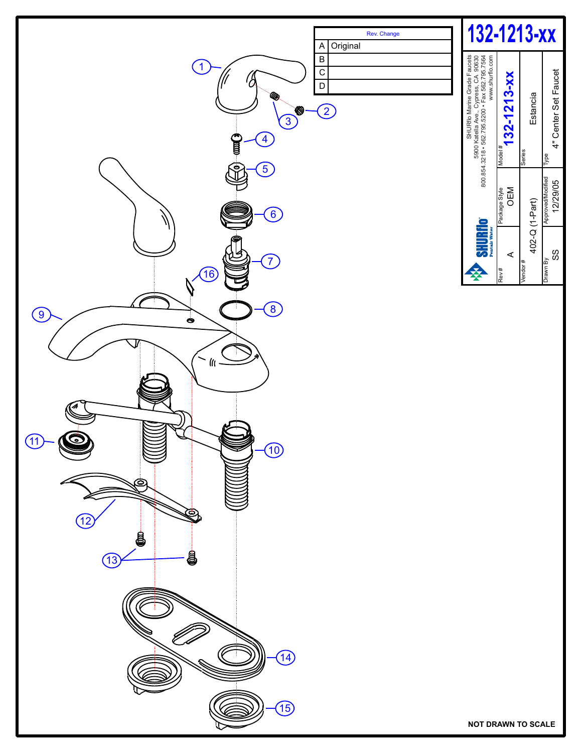